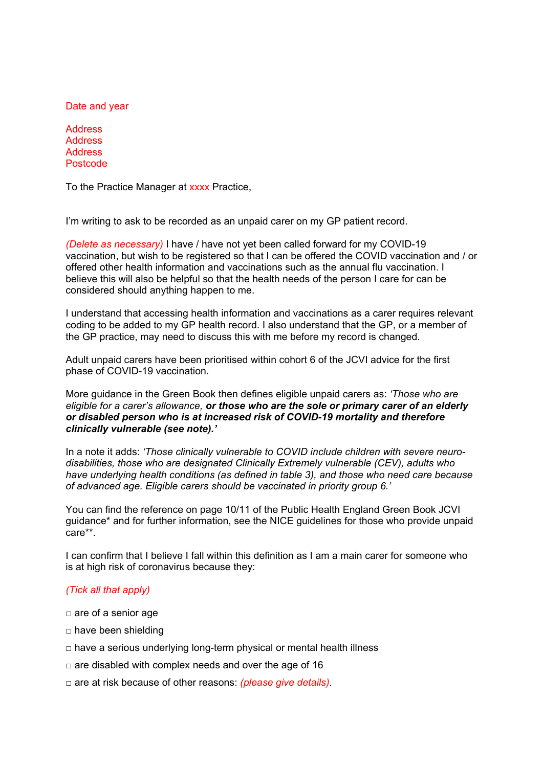Date and year

Address **Address** Address Postcode

To the Practice Manager at xxxx Practice,

I'm writing to ask to be recorded as an unpaid carer on my GP patient record.

*(Delete as necessary)* I have / have not yet been called forward for my COVID-19 vaccination, but wish to be registered so that I can be offered the COVID vaccination and / or offered other health information and vaccinations such as the annual flu vaccination. I believe this will also be helpful so that the health needs of the person I care for can be considered should anything happen to me.

I understand that accessing health information and vaccinations as a carer requires relevant coding to be added to my GP health record. I also understand that the GP, or a member of the GP practice, may need to discuss this with me before my record is changed.

Adult unpaid carers have been prioritised within cohort 6 of the JCVI advice for the first phase of COVID-19 vaccination.

More guidance in the Green Book then defines eligible unpaid carers as: *'Those who are eligible for a carer's allowance, or those who are the sole or primary carer of an elderly or disabled person who is at increased risk of COVID-19 mortality and therefore clinically vulnerable (see note).'* 

In a note it adds: *'Those clinically vulnerable to COVID include children with severe neurodisabilities, those who are designated Clinically Extremely vulnerable (CEV), adults who have underlying health conditions (as defined in table 3), and those who need care because of advanced age. Eligible carers should be vaccinated in priority group 6.'*

You can find the reference on page 10/11 of the Public Health England Green Book JCVI guidance\* and for further information, see the NICE guidelines for those who provide unpaid care\*\*.

I can confirm that I believe I fall within this definition as I am a main carer for someone who is at high risk of coronavirus because they:

## *(Tick all that apply)*

- □ are of a senior age
- □ have been shielding
- $\Box$  have a serious underlying long-term physical or mental health illness
- $\Box$  are disabled with complex needs and over the age of 16
- □ are at risk because of other reasons: *(please give details).*